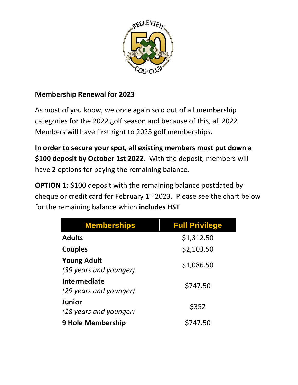

## **Membership Renewal for 2023**

As most of you know, we once again sold out of all membership categories for the 2022 golf season and because of this, all 2022 Members will have first right to 2023 golf memberships.

**In order to secure your spot, all existing members must put down a \$100 deposit by October 1st 2022.** With the deposit, members will have 2 options for paying the remaining balance.

**OPTION 1:** \$100 deposit with the remaining balance postdated by cheque or credit card for February  $1<sup>st</sup>$  2023. Please see the chart below for the remaining balance which **includes HST**

| <b>Memberships</b>                           | <b>Full Privilege</b> |
|----------------------------------------------|-----------------------|
| <b>Adults</b>                                | \$1,312.50            |
| <b>Couples</b>                               | \$2,103.50            |
| <b>Young Adult</b><br>(39 years and younger) | \$1,086.50            |
| Intermediate<br>(29 years and younger)       | \$747.50              |
| Junior<br>(18 years and younger)             | \$352                 |
| <b>9 Hole Membership</b>                     | \$747.50              |